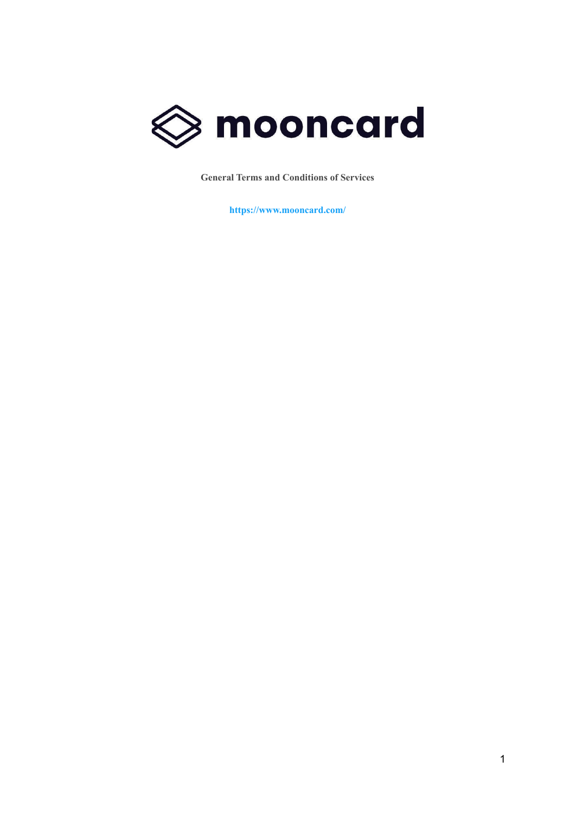

**General Terms and Conditions of Services**

**https://www.mooncard.com/**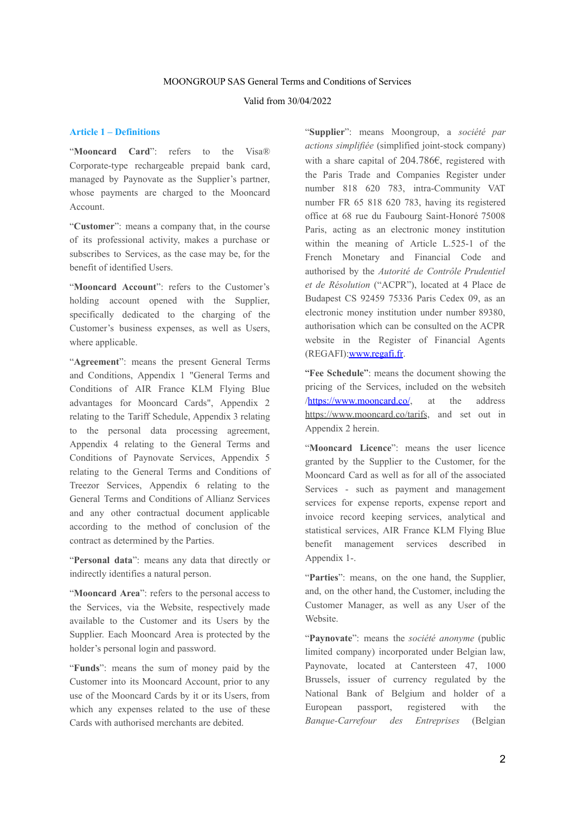### MOONGROUP SAS General Terms and Conditions of Services

## Valid from 30/04/2022

### **Article 1 – Definitions**

"**Mooncard Card**": refers to the Visa® Corporate-type rechargeable prepaid bank card, managed by Paynovate as the Supplier's partner, whose payments are charged to the Mooncard Account.

"**Customer**": means a company that, in the course of its professional activity, makes a purchase or subscribes to Services, as the case may be, for the benefit of identified Users.

"**Mooncard Account**": refers to the Customer's holding account opened with the Supplier, specifically dedicated to the charging of the Customer's business expenses, as well as Users, where applicable.

"**Agreement**": means the present General Terms and Conditions, Appendix 1 "General Terms and Conditions of AIR France KLM Flying Blue advantages for Mooncard Cards", Appendix 2 relating to the Tariff Schedule, Appendix 3 relating to the personal data processing agreement, Appendix 4 relating to the General Terms and Conditions of Paynovate Services, Appendix 5 relating to the General Terms and Conditions of Treezor Services, Appendix 6 relating to the General Terms and Conditions of Allianz Services and any other contractual document applicable according to the method of conclusion of the contract as determined by the Parties.

"**Personal data**": means any data that directly or indirectly identifies a natural person.

"**Mooncard Area**": refers to the personal access to the Services, via the Website, respectively made available to the Customer and its Users by the Supplier. Each Mooncard Area is protected by the holder's personal login and password.

"**Funds**": means the sum of money paid by the Customer into its Mooncard Account, prior to any use of the Mooncard Cards by it or its Users, from which any expenses related to the use of these Cards with authorised merchants are debited.

"**Supplier**": means Moongroup, a *société par actions simplifiée* (simplified joint-stock company) with a share capital of 204.786€, registered with the Paris Trade and Companies Register under number 818 620 783, intra-Community VAT number FR 65 818 620 783, having its registered office at 68 rue du Faubourg Saint-Honoré 75008 Paris, acting as an electronic money institution within the meaning of Article L.525-1 of the French Monetary and Financial Code and authorised by the *Autorité de Contrôle Prudentiel et de Résolution* ("ACPR"), located at 4 Place de Budapest CS 92459 75336 Paris Cedex 09, as an electronic money institution under number 89380, authorisation which can be consulted on the ACPR website in the Register of Financial Agents (REGAFI)[:www.regafi.fr](http://www.regafi.fr/).

"**Fee Schedule**": means the document showing the pricing of the Services, included on the websit[eh](https://app.mooncard.co/) [/](https://app.mooncard.co/)<https://www.mooncard.co/>, at the address <https://www.mooncard.co/tarifs>, and set out in Appendix 2 herein.

"**Mooncard Licence**": means the user licence granted by the Supplier to the Customer, for the Mooncard Card as well as for all of the associated Services - such as payment and management services for expense reports, expense report and invoice record keeping services, analytical and statistical services, AIR France KLM Flying Blue benefit management services described in Appendix 1-.

"**Parties**": means, on the one hand, the Supplier, and, on the other hand, the Customer, including the Customer Manager, as well as any User of the Website.

"**Paynovate**": means the *société anonyme* (public limited company) incorporated under Belgian law, Paynovate, located at Cantersteen 47, 1000 Brussels, issuer of currency regulated by the National Bank of Belgium and holder of a European passport, registered with the *Banque-Carrefour des Entreprises* (Belgian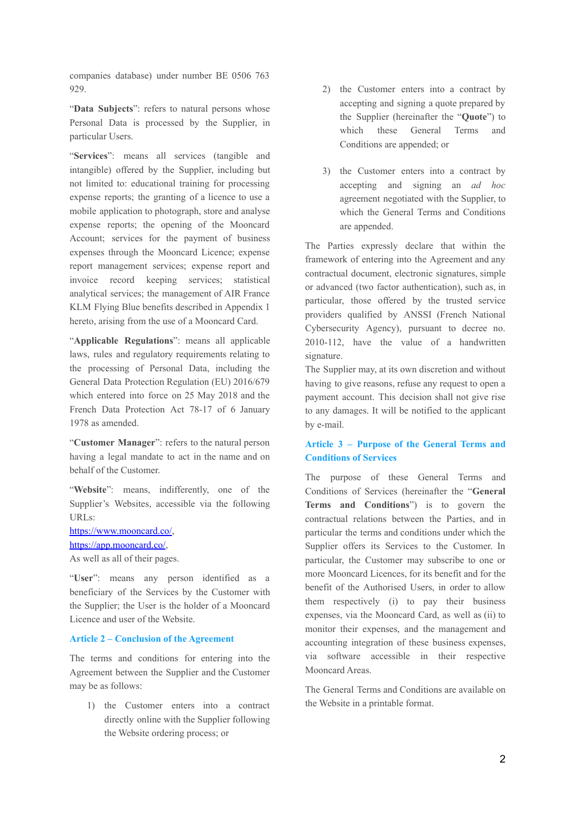companies database) under number BE 0506 763 929.

"Data Subjects": refers to natural persons whose Personal Data is processed by the Supplier, in particular Users.

"**Services**": means all services (tangible and intangible) offered by the Supplier, including but not limited to: educational training for processing expense reports; the granting of a licence to use a mobile application to photograph, store and analyse expense reports; the opening of the Mooncard Account; services for the payment of business expenses through the Mooncard Licence; expense report management services; expense report and invoice record keeping services; statistical analytical services; the management of AIR France KLM Flying Blue benefits described in Appendix 1 hereto, arising from the use of a Mooncard Card.

"**Applicable Regulations**": means all applicable laws, rules and regulatory requirements relating to the processing of Personal Data, including the General Data Protection Regulation (EU) 2016/679 which entered into force on 25 May 2018 and the French Data Protection Act 78-17 of 6 January 1978 as amended.

"**Customer Manager**": refers to the natural person having a legal mandate to act in the name and on behalf of the Customer.

"Website": means, indifferently, one of the Supplier's Websites, accessible via the following URLs:

[https://www.mooncard.co/,](https://www.mooncard.co/) <https://app.mooncard.co/>, As well as all of their pages.

"**User**": means any person identified as a beneficiary of the Services by the Customer with the Supplier; the User is the holder of a Mooncard Licence and user of the Website.

### **Article 2 – Conclusion of the Agreement**

The terms and conditions for entering into the Agreement between the Supplier and the Customer may be as follows:

1) the Customer enters into a contract directly online with the Supplier following the Website ordering process; or

- 2) the Customer enters into a contract by accepting and signing a quote prepared by the Supplier (hereinafter the "**Quote**") to which these General Terms and Conditions are appended; or
- 3) the Customer enters into a contract by accepting and signing an *ad hoc* agreement negotiated with the Supplier, to which the General Terms and Conditions are appended.

The Parties expressly declare that within the framework of entering into the Agreement and any contractual document, electronic signatures, simple or advanced (two factor authentication), such as, in particular, those offered by the trusted service providers qualified by ANSSI (French National Cybersecurity Agency), pursuant to decree no. 2010-112, have the value of a handwritten signature.

The Supplier may, at its own discretion and without having to give reasons, refuse any request to open a payment account. This decision shall not give rise to any damages. It will be notified to the applicant by e-mail.

## **Article 3 – Purpose of the General Terms and Conditions of Services**

The purpose of these General Terms and Conditions of Services (hereinafter the "**General Terms and Conditions**") is to govern the contractual relations between the Parties, and in particular the terms and conditions under which the Supplier offers its Services to the Customer. In particular, the Customer may subscribe to one or more Mooncard Licences, for its benefit and for the benefit of the Authorised Users, in order to allow them respectively (i) to pay their business expenses, via the Mooncard Card, as well as (ii) to monitor their expenses, and the management and accounting integration of these business expenses, via software accessible in their respective Mooncard Areas.

The General Terms and Conditions are available on the Website in a printable format.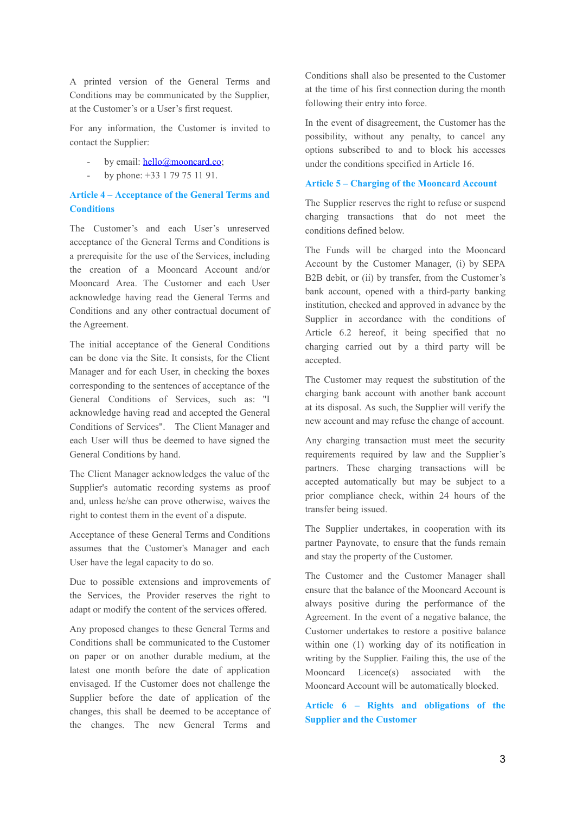A printed version of the General Terms and Conditions may be communicated by the Supplier, at the Customer's or a User's first request.

For any information, the Customer is invited to contact the Supplier:

- by email: [hello@mooncard.co](mailto:hello@mooncard.co);
- by phone: +33 1 79 75 11 91.

# **Article 4 – Acceptance of the General Terms and Conditions**

The Customer's and each User's unreserved acceptance of the General Terms and Conditions is a prerequisite for the use of the Services, including the creation of a Mooncard Account and/or Mooncard Area. The Customer and each User acknowledge having read the General Terms and Conditions and any other contractual document of the Agreement.

The initial acceptance of the General Conditions can be done via the Site. It consists, for the Client Manager and for each User, in checking the boxes corresponding to the sentences of acceptance of the General Conditions of Services, such as: "I acknowledge having read and accepted the General Conditions of Services". The Client Manager and each User will thus be deemed to have signed the General Conditions by hand.

The Client Manager acknowledges the value of the Supplier's automatic recording systems as proof and, unless he/she can prove otherwise, waives the right to contest them in the event of a dispute.

Acceptance of these General Terms and Conditions assumes that the Customer's Manager and each User have the legal capacity to do so.

Due to possible extensions and improvements of the Services, the Provider reserves the right to adapt or modify the content of the services offered.

Any proposed changes to these General Terms and Conditions shall be communicated to the Customer on paper or on another durable medium, at the latest one month before the date of application envisaged. If the Customer does not challenge the Supplier before the date of application of the changes, this shall be deemed to be acceptance of the changes. The new General Terms and Conditions shall also be presented to the Customer at the time of his first connection during the month following their entry into force.

In the event of disagreement, the Customer has the possibility, without any penalty, to cancel any options subscribed to and to block his accesses under the conditions specified in Article 16.

## **Article 5 – Charging of the Mooncard Account**

The Supplier reserves the right to refuse or suspend charging transactions that do not meet the conditions defined below.

The Funds will be charged into the Mooncard Account by the Customer Manager, (i) by SEPA B2B debit, or (ii) by transfer, from the Customer's bank account, opened with a third-party banking institution, checked and approved in advance by the Supplier in accordance with the conditions of Article 6.2 hereof, it being specified that no charging carried out by a third party will be accepted.

The Customer may request the substitution of the charging bank account with another bank account at its disposal. As such, the Supplier will verify the new account and may refuse the change of account.

Any charging transaction must meet the security requirements required by law and the Supplier's partners. These charging transactions will be accepted automatically but may be subject to a prior compliance check, within 24 hours of the transfer being issued.

The Supplier undertakes, in cooperation with its partner Paynovate, to ensure that the funds remain and stay the property of the Customer.

The Customer and the Customer Manager shall ensure that the balance of the Mooncard Account is always positive during the performance of the Agreement. In the event of a negative balance, the Customer undertakes to restore a positive balance within one (1) working day of its notification in writing by the Supplier. Failing this, the use of the Mooncard Licence(s) associated with the Mooncard Account will be automatically blocked.

**Article 6 – Rights and obligations of the Supplier and the Customer**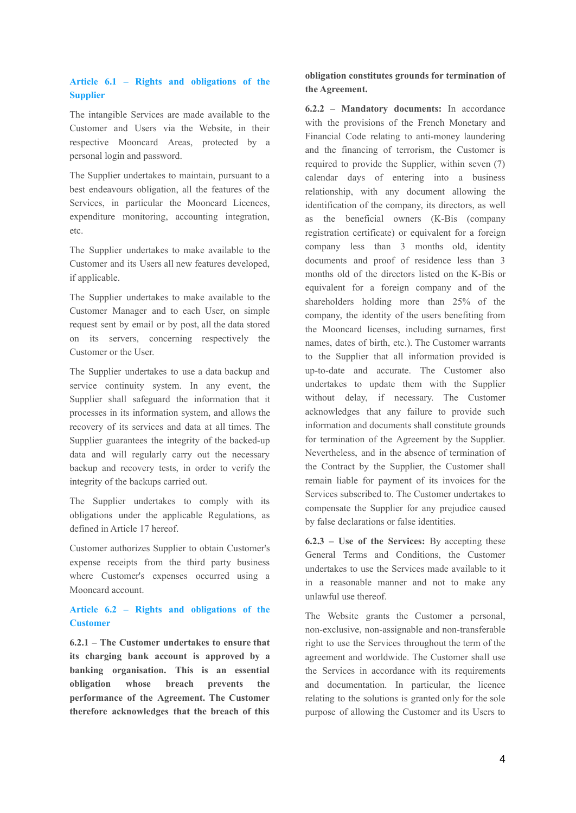# **Article 6.1 – Rights and obligations of the Supplier**

The intangible Services are made available to the Customer and Users via the Website, in their respective Mooncard Areas, protected by a personal login and password.

The Supplier undertakes to maintain, pursuant to a best endeavours obligation, all the features of the Services, in particular the Mooncard Licences, expenditure monitoring, accounting integration, etc.

The Supplier undertakes to make available to the Customer and its Users all new features developed, if applicable.

The Supplier undertakes to make available to the Customer Manager and to each User, on simple request sent by email or by post, all the data stored on its servers, concerning respectively the Customer or the User.

The Supplier undertakes to use a data backup and service continuity system. In any event, the Supplier shall safeguard the information that it processes in its information system, and allows the recovery of its services and data at all times. The Supplier guarantees the integrity of the backed-up data and will regularly carry out the necessary backup and recovery tests, in order to verify the integrity of the backups carried out.

The Supplier undertakes to comply with its obligations under the applicable Regulations, as defined in Article 17 hereof.

Customer authorizes Supplier to obtain Customer's expense receipts from the third party business where Customer's expenses occurred using a Mooncard account.

# **Article 6.2 – Rights and obligations of the Customer**

**6.2.1 – The Customer undertakes to ensure that its charging bank account is approved by a banking organisation. This is an essential obligation whose breach prevents the performance of the Agreement. The Customer therefore acknowledges that the breach of this**

**obligation constitutes grounds for termination of the Agreement.**

**6.2.2 – Mandatory documents:** In accordance with the provisions of the French Monetary and Financial Code relating to anti-money laundering and the financing of terrorism, the Customer is required to provide the Supplier, within seven (7) calendar days of entering into a business relationship, with any document allowing the identification of the company, its directors, as well as the beneficial owners (K-Bis (company registration certificate) or equivalent for a foreign company less than 3 months old, identity documents and proof of residence less than 3 months old of the directors listed on the K-Bis or equivalent for a foreign company and of the shareholders holding more than 25% of the company, the identity of the users benefiting from the Mooncard licenses, including surnames, first names, dates of birth, etc.). The Customer warrants to the Supplier that all information provided is up-to-date and accurate. The Customer also undertakes to update them with the Supplier without delay, if necessary. The Customer acknowledges that any failure to provide such information and documents shall constitute grounds for termination of the Agreement by the Supplier. Nevertheless, and in the absence of termination of the Contract by the Supplier, the Customer shall remain liable for payment of its invoices for the Services subscribed to. The Customer undertakes to compensate the Supplier for any prejudice caused by false declarations or false identities.

**6.2.3 – Use of the Services:** By accepting these General Terms and Conditions, the Customer undertakes to use the Services made available to it in a reasonable manner and not to make any unlawful use thereof.

The Website grants the Customer a personal, non-exclusive, non-assignable and non-transferable right to use the Services throughout the term of the agreement and worldwide. The Customer shall use the Services in accordance with its requirements and documentation. In particular, the licence relating to the solutions is granted only for the sole purpose of allowing the Customer and its Users to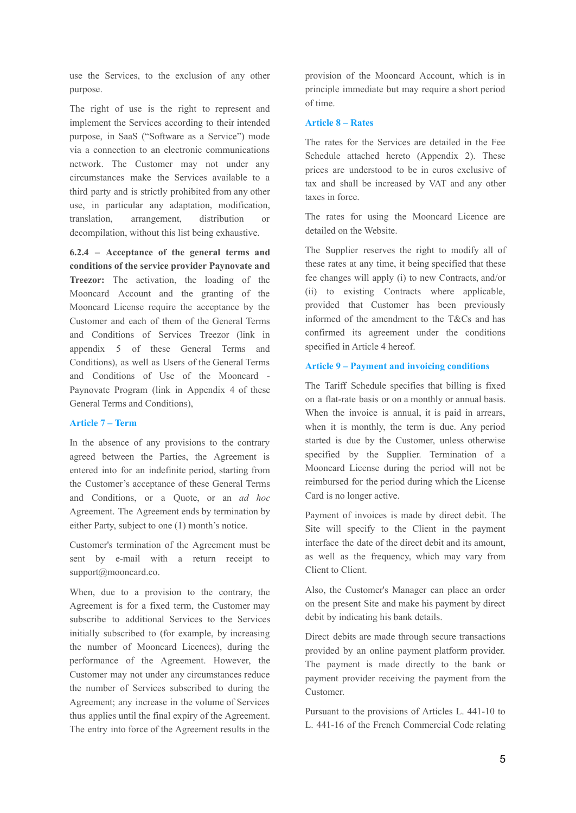use the Services, to the exclusion of any other purpose.

The right of use is the right to represent and implement the Services according to their intended purpose, in SaaS ("Software as a Service") mode via a connection to an electronic communications network. The Customer may not under any circumstances make the Services available to a third party and is strictly prohibited from any other use, in particular any adaptation, modification, translation, arrangement, distribution or decompilation, without this list being exhaustive.

**6.2.4 – Acceptance of the general terms and conditions of the service provider Paynovate and Treezor:** The activation, the loading of the Mooncard Account and the granting of the Mooncard License require the acceptance by the Customer and each of them of the General Terms and Conditions of Services Treezor (link in appendix 5 of these General Terms and Conditions), as well as Users of the General Terms and Conditions of Use of the Mooncard - Paynovate Program (link in Appendix 4 of these General Terms and Conditions),

### **Article 7 – Term**

In the absence of any provisions to the contrary agreed between the Parties, the Agreement is entered into for an indefinite period, starting from the Customer's acceptance of these General Terms and Conditions, or a Quote, or an *ad hoc* Agreement. The Agreement ends by termination by either Party, subject to one (1) month's notice.

Customer's termination of the Agreement must be sent by e-mail with a return receipt to support@mooncard.co.

When, due to a provision to the contrary, the Agreement is for a fixed term, the Customer may subscribe to additional Services to the Services initially subscribed to (for example, by increasing the number of Mooncard Licences), during the performance of the Agreement. However, the Customer may not under any circumstances reduce the number of Services subscribed to during the Agreement; any increase in the volume of Services thus applies until the final expiry of the Agreement. The entry into force of the Agreement results in the provision of the Mooncard Account, which is in principle immediate but may require a short period of time.

### **Article 8 – Rates**

The rates for the Services are detailed in the Fee Schedule attached hereto (Appendix 2). These prices are understood to be in euros exclusive of tax and shall be increased by VAT and any other taxes in force.

The rates for using the Mooncard Licence are detailed on the Website.

The Supplier reserves the right to modify all of these rates at any time, it being specified that these fee changes will apply (i) to new Contracts, and/or (ii) to existing Contracts where applicable, provided that Customer has been previously informed of the amendment to the T&Cs and has confirmed its agreement under the conditions specified in Article 4 hereof.

### **Article 9 – Payment and invoicing conditions**

The Tariff Schedule specifies that billing is fixed on a flat-rate basis or on a monthly or annual basis. When the invoice is annual, it is paid in arrears, when it is monthly, the term is due. Any period started is due by the Customer, unless otherwise specified by the Supplier. Termination of a Mooncard License during the period will not be reimbursed for the period during which the License Card is no longer active.

Payment of invoices is made by direct debit. The Site will specify to the Client in the payment interface the date of the direct debit and its amount, as well as the frequency, which may vary from Client to Client.

Also, the Customer's Manager can place an order on the present Site and make his payment by direct debit by indicating his bank details.

Direct debits are made through secure transactions provided by an online payment platform provider. The payment is made directly to the bank or payment provider receiving the payment from the Customer.

Pursuant to the provisions of Articles L. 441-10 to L. 441-16 of the French Commercial Code relating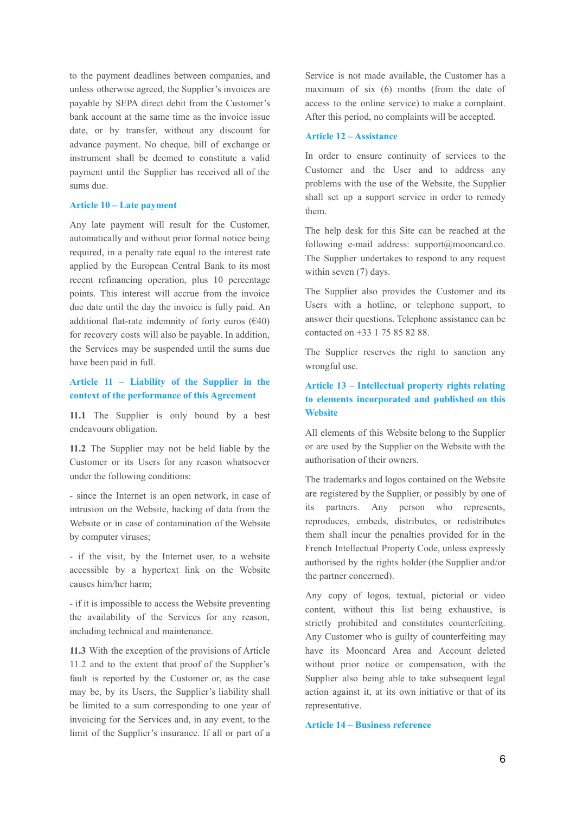to the payment deadlines between companies, and unless otherwise agreed, the Supplier's invoices are payable by SEPA direct debit from the Customer's bank account at the same time as the invoice issue date, or by transfer, without any discount for advance payment. No cheque, bill of exchange or instrument shall be deemed to constitute a valid payment until the Supplier has received all of the sums due.

## **Article 10 – Late payment**

Any late payment will result for the Customer, automatically and without prior formal notice being required, in a penalty rate equal to the interest rate applied by the European Central Bank to its most recent refinancing operation, plus 10 percentage points. This interest will accrue from the invoice due date until the day the invoice is fully paid. An additional flat-rate indemnity of forty euros  $(€40)$ for recovery costs will also be payable. In addition, the Services may be suspended until the sums due have been paid in full.

## **Article 11 – Liability of the Supplier in the context of the performance of this Agreement**

**11.1** The Supplier is only bound by a best endeavours obligation.

**11.2** The Supplier may not be held liable by the Customer or its Users for any reason whatsoever under the following conditions:

- since the Internet is an open network, in case of intrusion on the Website, hacking of data from the Website or in case of contamination of the Website by computer viruses;

- if the visit, by the Internet user, to a website accessible by a hypertext link on the Website causes him/her harm;

- if it is impossible to access the Website preventing the availability of the Services for any reason, including technical and maintenance.

**11.3** With the exception of the provisions of Article 11.2 and to the extent that proof of the Supplier's fault is reported by the Customer or, as the case may be, by its Users, the Supplier's liability shall be limited to a sum corresponding to one year of invoicing for the Services and, in any event, to the limit of the Supplier's insurance. If all or part of a

Service is not made available, the Customer has a maximum of six (6) months (from the date of access to the online service) to make a complaint. After this period, no complaints will be accepted.

### **Article 12 – Assistance**

In order to ensure continuity of services to the Customer and the User and to address any problems with the use of the Website, the Supplier shall set up a support service in order to remedy them.

The help desk for this Site can be reached at the following e-mail address: support@mooncard.co. The Supplier undertakes to respond to any request within seven (7) days.

The Supplier also provides the Customer and its Users with a hotline, or telephone support, to answer their questions. Telephone assistance can be contacted on +33 1 75 85 82 88.

The Supplier reserves the right to sanction any wrongful use.

# **Article 13 – Intellectual property rights relating to elements incorporated and published on this Website**

All elements of this Website belong to the Supplier or are used by the Supplier on the Website with the authorisation of their owners.

The trademarks and logos contained on the Website are registered by the Supplier, or possibly by one of its partners. Any person who represents, reproduces, embeds, distributes, or redistributes them shall incur the penalties provided for in the French Intellectual Property Code, unless expressly authorised by the rights holder (the Supplier and/or the partner concerned).

Any copy of logos, textual, pictorial or video content, without this list being exhaustive, is strictly prohibited and constitutes counterfeiting. Any Customer who is guilty of counterfeiting may have its Mooncard Area and Account deleted without prior notice or compensation, with the Supplier also being able to take subsequent legal action against it, at its own initiative or that of its representative.

## **Article 14 – Business reference**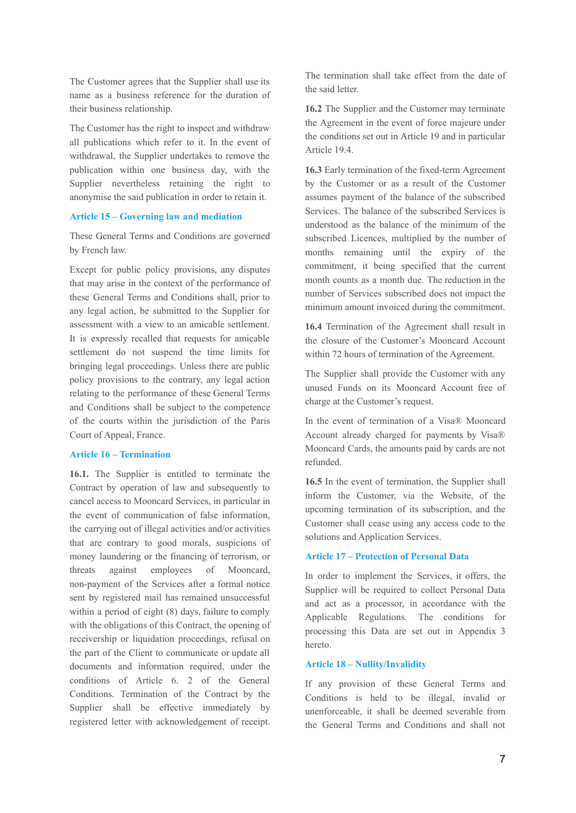The Customer agrees that the Supplier shall use its name as a business reference for the duration of their business relationship.

The Customer has the right to inspect and withdraw all publications which refer to it. In the event of withdrawal, the Supplier undertakes to remove the publication within one business day, with the Supplier nevertheless retaining the right to anonymise the said publication in order to retain it.

### **Article 15 – Governing law and mediation**

These General Terms and Conditions are governed by French law.

Except for public policy provisions, any disputes that may arise in the context of the performance of these General Terms and Conditions shall, prior to any legal action, be submitted to the Supplier for assessment with a view to an amicable settlement. It is expressly recalled that requests for amicable settlement do not suspend the time limits for bringing legal proceedings. Unless there are public policy provisions to the contrary, any legal action relating to the performance of these General Terms and Conditions shall be subject to the competence of the courts within the jurisdiction of the Paris Court of Appeal, France.

### **Article 16 – Termination**

**16.1.** The Supplier is entitled to terminate the Contract by operation of law and subsequently to cancel access to Mooncard Services, in particular in the event of communication of false information, the carrying out of illegal activities and/or activities that are contrary to good morals, suspicions of money laundering or the financing of terrorism, or threats against employees of Mooncard, non-payment of the Services after a formal notice sent by registered mail has remained unsuccessful within a period of eight (8) days, failure to comply with the obligations of this Contract, the opening of receivership or liquidation proceedings, refusal on the part of the Client to communicate or update all documents and information required, under the conditions of Article 6. 2 of the General Conditions. Termination of the Contract by the Supplier shall be effective immediately by registered letter with acknowledgement of receipt.

The termination shall take effect from the date of the said letter.

**16.2** The Supplier and the Customer may terminate the Agreement in the event of force majeure under the conditions set out in Article 19 and in particular Article 19.4.

**16.3** Early termination of the fixed-term Agreement by the Customer or as a result of the Customer assumes payment of the balance of the subscribed Services. The balance of the subscribed Services is understood as the balance of the minimum of the subscribed Licences, multiplied by the number of months remaining until the expiry of the commitment, it being specified that the current month counts as a month due. The reduction in the number of Services subscribed does not impact the minimum amount invoiced during the commitment.

**16.4** Termination of the Agreement shall result in the closure of the Customer's Mooncard Account within 72 hours of termination of the Agreement.

The Supplier shall provide the Customer with any unused Funds on its Mooncard Account free of charge at the Customer's request.

In the event of termination of a Visa® Mooncard Account already charged for payments by Visa® Mooncard Cards, the amounts paid by cards are not refunded.

**16.5** In the event of termination, the Supplier shall inform the Customer, via the Website, of the upcoming termination of its subscription, and the Customer shall cease using any access code to the solutions and Application Services.

### **Article 17 – Protection of Personal Data**

In order to implement the Services, it offers, the Supplier will be required to collect Personal Data and act as a processor, in accordance with the Applicable Regulations. The conditions for processing this Data are set out in Appendix 3 hereto.

### **Article 18 – Nullity/Invalidity**

If any provision of these General Terms and Conditions is held to be illegal, invalid or unenforceable, it shall be deemed severable from the General Terms and Conditions and shall not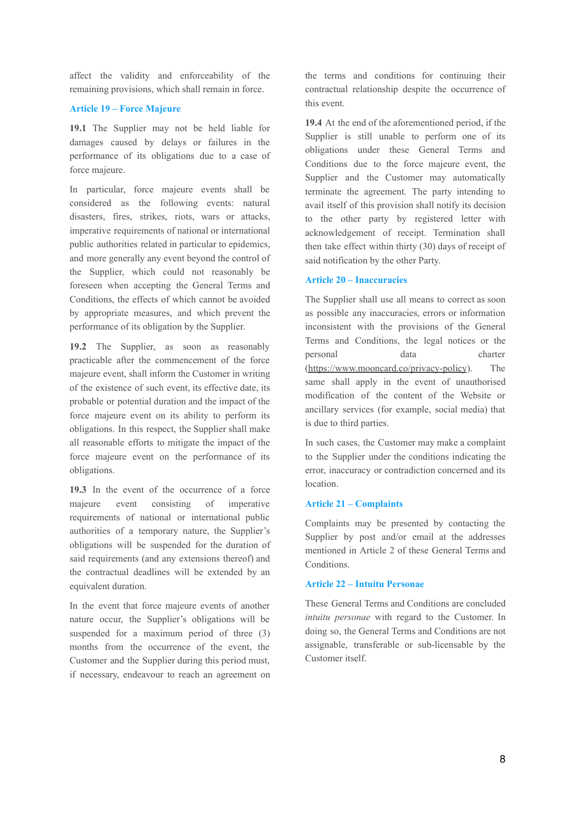affect the validity and enforceability of the remaining provisions, which shall remain in force.

#### **Article 19 – Force Majeure**

**19.1** The Supplier may not be held liable for damages caused by delays or failures in the performance of its obligations due to a case of force majeure.

In particular, force majeure events shall be considered as the following events: natural disasters, fires, strikes, riots, wars or attacks, imperative requirements of national or international public authorities related in particular to epidemics, and more generally any event beyond the control of the Supplier, which could not reasonably be foreseen when accepting the General Terms and Conditions, the effects of which cannot be avoided by appropriate measures, and which prevent the performance of its obligation by the Supplier.

**19.2** The Supplier, as soon as reasonably practicable after the commencement of the force majeure event, shall inform the Customer in writing of the existence of such event, its effective date, its probable or potential duration and the impact of the force majeure event on its ability to perform its obligations. In this respect, the Supplier shall make all reasonable efforts to mitigate the impact of the force majeure event on the performance of its obligations.

**19.3** In the event of the occurrence of a force majeure event consisting of imperative requirements of national or international public authorities of a temporary nature, the Supplier's obligations will be suspended for the duration of said requirements (and any extensions thereof) and the contractual deadlines will be extended by an equivalent duration.

In the event that force majeure events of another nature occur, the Supplier's obligations will be suspended for a maximum period of three (3) months from the occurrence of the event, the Customer and the Supplier during this period must, if necessary, endeavour to reach an agreement on the terms and conditions for continuing their contractual relationship despite the occurrence of this event.

**19.4** At the end of the aforementioned period, if the Supplier is still unable to perform one of its obligations under these General Terms and Conditions due to the force majeure event, the Supplier and the Customer may automatically terminate the agreement. The party intending to avail itself of this provision shall notify its decision to the other party by registered letter with acknowledgement of receipt. Termination shall then take effect within thirty (30) days of receipt of said notification by the other Party.

### **Article 20 – Inaccuracies**

The Supplier shall use all means to correct as soon as possible any inaccuracies, errors or information inconsistent with the provisions of the General Terms and Conditions, the legal notices or the personal data charter [\(https://www.mooncard.co/privacy-policy](https://www.mooncard.co/privacy-policy)). The same shall apply in the event of unauthorised modification of the content of the Website or ancillary services (for example, social media) that is due to third parties.

In such cases, the Customer may make a complaint to the Supplier under the conditions indicating the error, inaccuracy or contradiction concerned and its location.

### **Article 21 – Complaints**

Complaints may be presented by contacting the Supplier by post and/or email at the addresses mentioned in Article 2 of these General Terms and Conditions.

#### **Article 22 – Intuitu Personae**

These General Terms and Conditions are concluded *intuitu personae* with regard to the Customer. In doing so, the General Terms and Conditions are not assignable, transferable or sub-licensable by the Customer itself.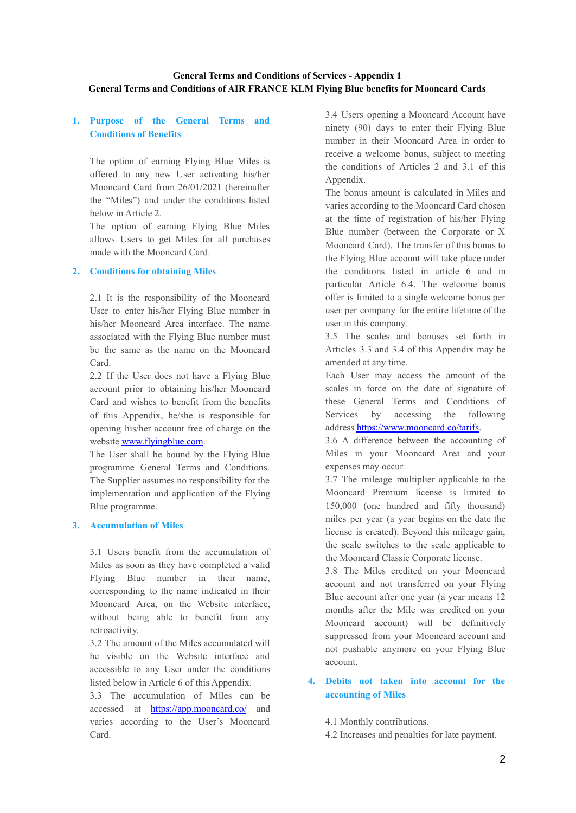# **1. Purpose of the General Terms and Conditions of Benefits**

The option of earning Flying Blue Miles is offered to any new User activating his/her Mooncard Card from 26/01/2021 (hereinafter the "Miles") and under the conditions listed below in Article 2.

The option of earning Flying Blue Miles allows Users to get Miles for all purchases made with the Mooncard Card.

### **2. Conditions for obtaining Miles**

2.1 It is the responsibility of the Mooncard User to enter his/her Flying Blue number in his/her Mooncard Area interface. The name associated with the Flying Blue number must be the same as the name on the Mooncard Card.

2.2 If the User does not have a Flying Blue account prior to obtaining his/her Mooncard Card and wishes to benefit from the benefits of this Appendix, he/she is responsible for opening his/her account free of charge on the website [www.flyingblue.com](http://www.flyingblue.com/).

The User shall be bound by the Flying Blue programme General Terms and Conditions. The Supplier assumes no responsibility for the implementation and application of the Flying Blue programme.

## **3. Accumulation of Miles**

3.1 Users benefit from the accumulation of Miles as soon as they have completed a valid Flying Blue number in their name, corresponding to the name indicated in their Mooncard Area, on the Website interface, without being able to benefit from any retroactivity.

3.2 The amount of the Miles accumulated will be visible on the Website interface and accessible to any User under the conditions listed below in Article 6 of this Appendix.

3.3 The accumulation of Miles can be accessed at <https://app.mooncard.co/> and varies according to the User's Mooncard Card.

3.4 Users opening a Mooncard Account have ninety (90) days to enter their Flying Blue number in their Mooncard Area in order to receive a welcome bonus, subject to meeting the conditions of Articles 2 and 3.1 of this Appendix.

The bonus amount is calculated in Miles and varies according to the Mooncard Card chosen at the time of registration of his/her Flying Blue number (between the Corporate or X Mooncard Card). The transfer of this bonus to the Flying Blue account will take place under the conditions listed in article 6 and in particular Article 6.4. The welcome bonus offer is limited to a single welcome bonus per user per company for the entire lifetime of the user in this company.

3.5 The scales and bonuses set forth in Articles 3.3 and 3.4 of this Appendix may be amended at any time.

Each User may access the amount of the scales in force on the date of signature of these General Terms and Conditions of Services by accessing the following address [https://www.mooncard.co/tarifs.](https://www.mooncard.co/tarifs)

3.6 A difference between the accounting of Miles in your Mooncard Area and your expenses may occur.

3.7 The mileage multiplier applicable to the Mooncard Premium license is limited to 150,000 (one hundred and fifty thousand) miles per year (a year begins on the date the license is created). Beyond this mileage gain, the scale switches to the scale applicable to the Mooncard Classic Corporate license.

3.8 The Miles credited on your Mooncard account and not transferred on your Flying Blue account after one year (a year means 12 months after the Mile was credited on your Mooncard account) will be definitively suppressed from your Mooncard account and not pushable anymore on your Flying Blue account.

# **4. Debits not taken into account for the accounting of Miles**

4.1 Monthly contributions.

4.2 Increases and penalties for late payment.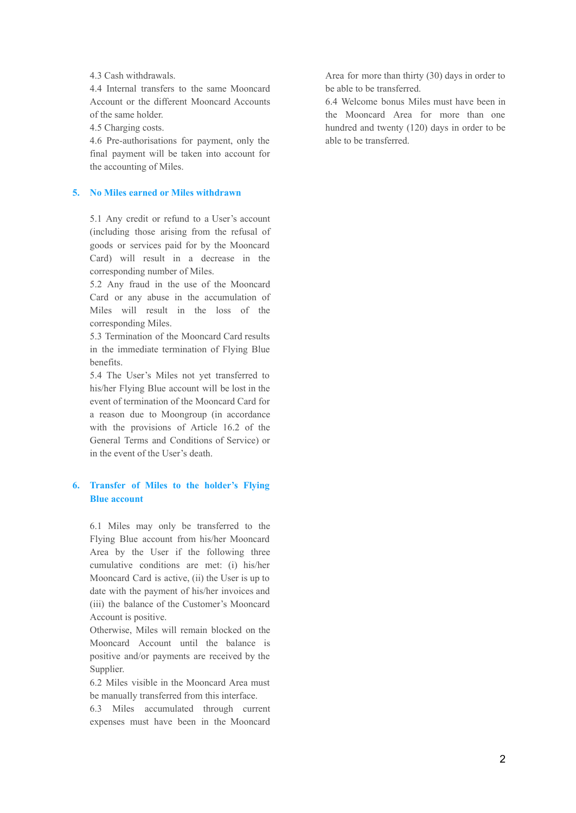4.3 Cash withdrawals.

4.4 Internal transfers to the same Mooncard Account or the different Mooncard Accounts of the same holder.

4.5 Charging costs.

4.6 Pre-authorisations for payment, only the final payment will be taken into account for the accounting of Miles.

#### **5. No Miles earned or Miles withdrawn**

5.1 Any credit or refund to a User's account (including those arising from the refusal of goods or services paid for by the Mooncard Card) will result in a decrease in the corresponding number of Miles.

5.2 Any fraud in the use of the Mooncard Card or any abuse in the accumulation of Miles will result in the loss of the corresponding Miles.

5.3 Termination of the Mooncard Card results in the immediate termination of Flying Blue benefits.

5.4 The User's Miles not yet transferred to his/her Flying Blue account will be lost in the event of termination of the Mooncard Card for a reason due to Moongroup (in accordance with the provisions of Article 16.2 of the General Terms and Conditions of Service) or in the event of the User's death.

# **6. Transfer of Miles to the holder's Flying Blue account**

6.1 Miles may only be transferred to the Flying Blue account from his/her Mooncard Area by the User if the following three cumulative conditions are met: (i) his/her Mooncard Card is active, (ii) the User is up to date with the payment of his/her invoices and (iii) the balance of the Customer's Mooncard Account is positive.

Otherwise, Miles will remain blocked on the Mooncard Account until the balance is positive and/or payments are received by the Supplier.

6.2 Miles visible in the Mooncard Area must be manually transferred from this interface.

6.3 Miles accumulated through current expenses must have been in the Mooncard

Area for more than thirty (30) days in order to be able to be transferred.

6.4 Welcome bonus Miles must have been in the Mooncard Area for more than one hundred and twenty (120) days in order to be able to be transferred.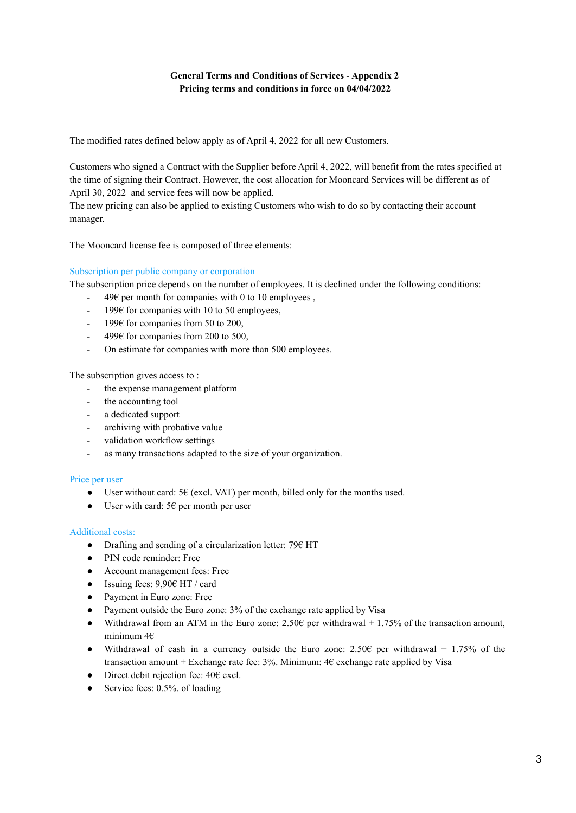# **General Terms and Conditions of Services - Appendix 2 Pricing terms and conditions in force on 04/04/2022**

The modified rates defined below apply as of April 4, 2022 for all new Customers.

Customers who signed a Contract with the Supplier before April 4, 2022, will benefit from the rates specified at the time of signing their Contract. However, the cost allocation for Mooncard Services will be different as of April 30, 2022 and service fees will now be applied.

The new pricing can also be applied to existing Customers who wish to do so by contacting their account manager.

The Mooncard license fee is composed of three elements:

## Subscription per public company or corporation

The subscription price depends on the number of employees. It is declined under the following conditions:

- 49€ per month for companies with 0 to 10 employees,
- $-199\epsilon$  for companies with 10 to 50 employees,
- $-199\epsilon$  for companies from 50 to 200,
- 499 $\epsilon$  for companies from 200 to 500,
- On estimate for companies with more than 500 employees.

The subscription gives access to :

- the expense management platform
- the accounting tool
- a dedicated support
- archiving with probative value
- validation workflow settings
- as many transactions adapted to the size of your organization.

### Price per user

- User without card:  $5 \in (excl. VAT)$  per month, billed only for the months used.
- User with card:  $5 \in \text{per month per user}$

### Additional costs:

- Drafting and sending of a circularization letter:  $79 \text{ } \in$  HT
- PIN code reminder: Free
- Account management fees: Free
- Issuing fees:  $9,90 \in$  HT / card
- Payment in Euro zone: Free
- Payment outside the Euro zone: 3% of the exchange rate applied by Visa
- Withdrawal from an ATM in the Euro zone:  $2.50\epsilon$  per withdrawal + 1.75% of the transaction amount, minimum 4€
- Withdrawal of cash in a currency outside the Euro zone: 2.50€ per withdrawal + 1.75% of the transaction amount + Exchange rate fee:  $3\%$ . Minimum:  $4\epsilon$  exchange rate applied by Visa
- Direct debit rejection fee:  $40 \epsilon$  excl.
- $\bullet$  Service fees: 0.5%. of loading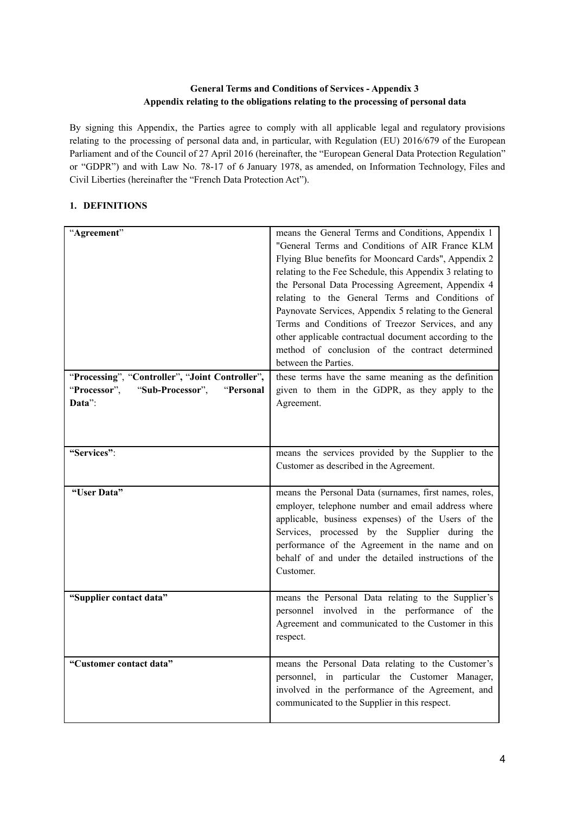# **General Terms and Conditions of Services - Appendix 3 Appendix relating to the obligations relating to the processing of personal data**

By signing this Appendix, the Parties agree to comply with all applicable legal and regulatory provisions relating to the processing of personal data and, in particular, with Regulation (EU) 2016/679 of the European Parliament and of the Council of 27 April 2016 (hereinafter, the "European General Data Protection Regulation" or "GDPR") and with Law No. 78-17 of 6 January 1978, as amended, on Information Technology, Files and Civil Liberties (hereinafter the "French Data Protection Act").

# **1. DEFINITIONS**

| "Agreement"                                     | means the General Terms and Conditions, Appendix 1        |
|-------------------------------------------------|-----------------------------------------------------------|
|                                                 | "General Terms and Conditions of AIR France KLM           |
|                                                 | Flying Blue benefits for Mooncard Cards", Appendix 2      |
|                                                 | relating to the Fee Schedule, this Appendix 3 relating to |
|                                                 | the Personal Data Processing Agreement, Appendix 4        |
|                                                 | relating to the General Terms and Conditions of           |
|                                                 | Paynovate Services, Appendix 5 relating to the General    |
|                                                 | Terms and Conditions of Treezor Services, and any         |
|                                                 | other applicable contractual document according to the    |
|                                                 | method of conclusion of the contract determined           |
|                                                 | between the Parties.                                      |
| "Processing", "Controller", "Joint Controller", | these terms have the same meaning as the definition       |
| "Processor",<br>"Sub-Processor",<br>"Personal   | given to them in the GDPR, as they apply to the           |
| Data":                                          | Agreement.                                                |
|                                                 |                                                           |
|                                                 |                                                           |
| "Services":                                     | means the services provided by the Supplier to the        |
|                                                 | Customer as described in the Agreement.                   |
|                                                 |                                                           |
| "User Data"                                     | means the Personal Data (surnames, first names, roles,    |
|                                                 | employer, telephone number and email address where        |
|                                                 | applicable, business expenses) of the Users of the        |
|                                                 | Services, processed by the Supplier during the            |
|                                                 | performance of the Agreement in the name and on           |
|                                                 | behalf of and under the detailed instructions of the      |
|                                                 | Customer.                                                 |
|                                                 |                                                           |
| "Supplier contact data"                         | means the Personal Data relating to the Supplier's        |
|                                                 | personnel involved in the performance of the              |
|                                                 | Agreement and communicated to the Customer in this        |
|                                                 | respect.                                                  |
|                                                 |                                                           |
| "Customer contact data"                         | means the Personal Data relating to the Customer's        |
|                                                 | personnel, in particular the Customer Manager,            |
|                                                 | involved in the performance of the Agreement, and         |
|                                                 | communicated to the Supplier in this respect.             |
|                                                 |                                                           |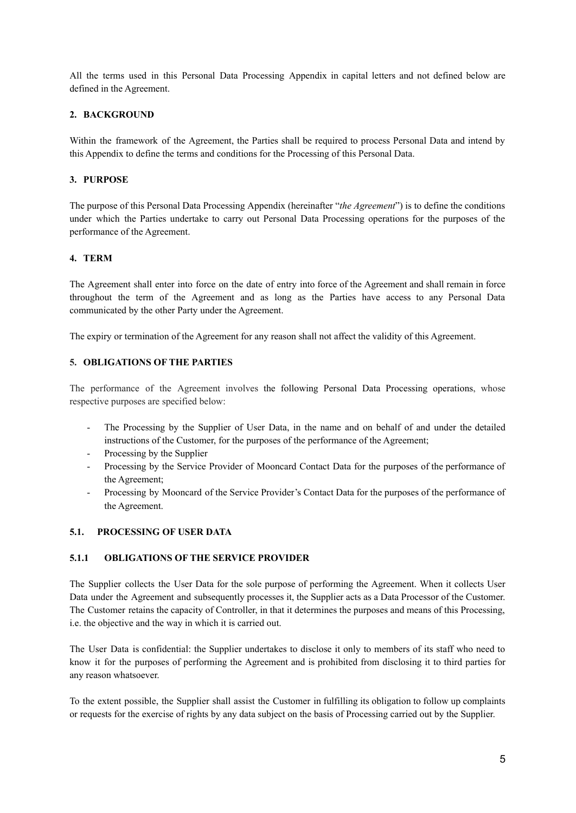All the terms used in this Personal Data Processing Appendix in capital letters and not defined below are defined in the Agreement.

## **2. BACKGROUND**

Within the framework of the Agreement, the Parties shall be required to process Personal Data and intend by this Appendix to define the terms and conditions for the Processing of this Personal Data.

## **3. PURPOSE**

The purpose of this Personal Data Processing Appendix (hereinafter "*the Agreement*") is to define the conditions under which the Parties undertake to carry out Personal Data Processing operations for the purposes of the performance of the Agreement.

## **4. TERM**

The Agreement shall enter into force on the date of entry into force of the Agreement and shall remain in force throughout the term of the Agreement and as long as the Parties have access to any Personal Data communicated by the other Party under the Agreement.

The expiry or termination of the Agreement for any reason shall not affect the validity of this Agreement.

## **5. OBLIGATIONS OF THE PARTIES**

The performance of the Agreement involves the following Personal Data Processing operations, whose respective purposes are specified below:

- The Processing by the Supplier of User Data, in the name and on behalf of and under the detailed instructions of the Customer, for the purposes of the performance of the Agreement;
- Processing by the Supplier
- Processing by the Service Provider of Mooncard Contact Data for the purposes of the performance of the Agreement;
- Processing by Mooncard of the Service Provider's Contact Data for the purposes of the performance of the Agreement.

### **5.1. PROCESSING OF USER DATA**

### **5.1.1 OBLIGATIONS OF THE SERVICE PROVIDER**

The Supplier collects the User Data for the sole purpose of performing the Agreement. When it collects User Data under the Agreement and subsequently processes it, the Supplier acts as a Data Processor of the Customer. The Customer retains the capacity of Controller, in that it determines the purposes and means of this Processing, i.e. the objective and the way in which it is carried out.

The User Data is confidential: the Supplier undertakes to disclose it only to members of its staff who need to know it for the purposes of performing the Agreement and is prohibited from disclosing it to third parties for any reason whatsoever.

To the extent possible, the Supplier shall assist the Customer in fulfilling its obligation to follow up complaints or requests for the exercise of rights by any data subject on the basis of Processing carried out by the Supplier.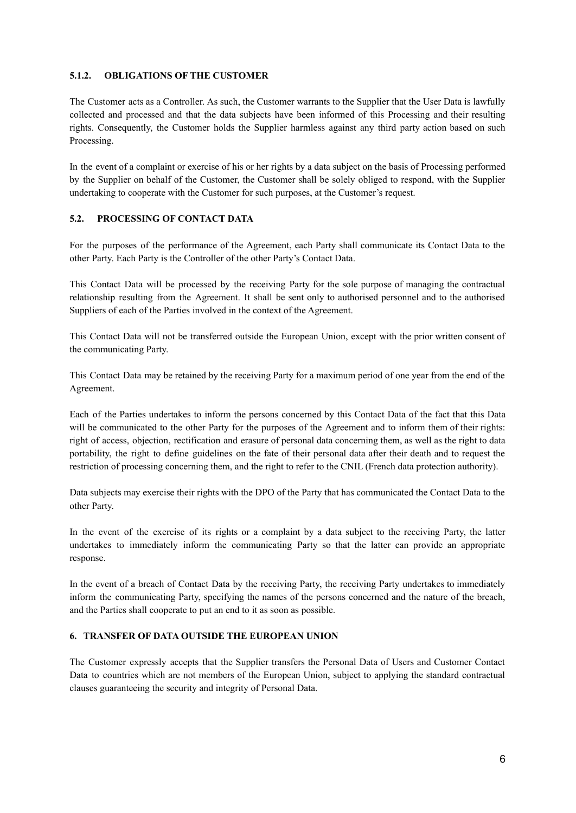## **5.1.2. OBLIGATIONS OF THE CUSTOMER**

The Customer acts as a Controller. As such, the Customer warrants to the Supplier that the User Data is lawfully collected and processed and that the data subjects have been informed of this Processing and their resulting rights. Consequently, the Customer holds the Supplier harmless against any third party action based on such Processing.

In the event of a complaint or exercise of his or her rights by a data subject on the basis of Processing performed by the Supplier on behalf of the Customer, the Customer shall be solely obliged to respond, with the Supplier undertaking to cooperate with the Customer for such purposes, at the Customer's request.

## **5.2. PROCESSING OF CONTACT DATA**

For the purposes of the performance of the Agreement, each Party shall communicate its Contact Data to the other Party. Each Party is the Controller of the other Party's Contact Data.

This Contact Data will be processed by the receiving Party for the sole purpose of managing the contractual relationship resulting from the Agreement. It shall be sent only to authorised personnel and to the authorised Suppliers of each of the Parties involved in the context of the Agreement.

This Contact Data will not be transferred outside the European Union, except with the prior written consent of the communicating Party.

This Contact Data may be retained by the receiving Party for a maximum period of one year from the end of the Agreement.

Each of the Parties undertakes to inform the persons concerned by this Contact Data of the fact that this Data will be communicated to the other Party for the purposes of the Agreement and to inform them of their rights: right of access, objection, rectification and erasure of personal data concerning them, as well as the right to data portability, the right to define guidelines on the fate of their personal data after their death and to request the restriction of processing concerning them, and the right to refer to the CNIL (French data protection authority).

Data subjects may exercise their rights with the DPO of the Party that has communicated the Contact Data to the other Party.

In the event of the exercise of its rights or a complaint by a data subject to the receiving Party, the latter undertakes to immediately inform the communicating Party so that the latter can provide an appropriate response.

In the event of a breach of Contact Data by the receiving Party, the receiving Party undertakes to immediately inform the communicating Party, specifying the names of the persons concerned and the nature of the breach, and the Parties shall cooperate to put an end to it as soon as possible.

### **6. TRANSFER OF DATA OUTSIDE THE EUROPEAN UNION**

The Customer expressly accepts that the Supplier transfers the Personal Data of Users and Customer Contact Data to countries which are not members of the European Union, subject to applying the standard contractual clauses guaranteeing the security and integrity of Personal Data.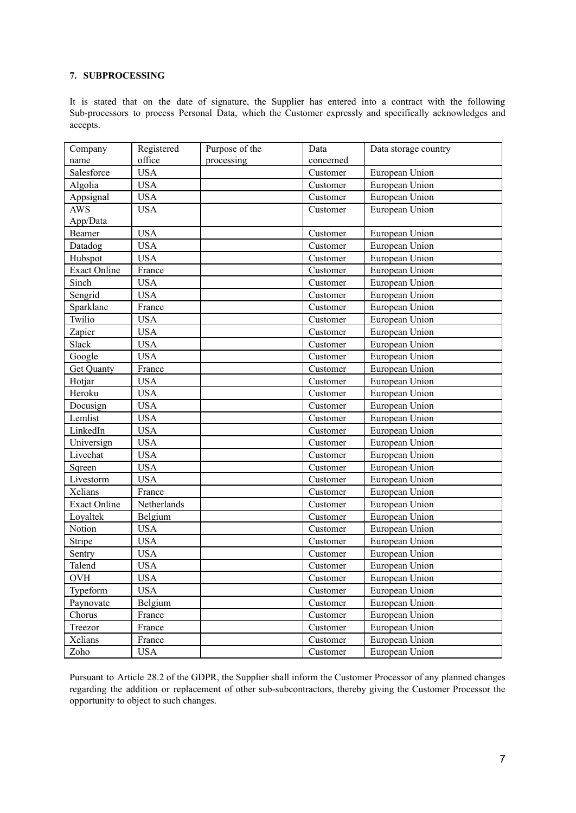## **7. SUBPROCESSING**

It is stated that on the date of signature, the Supplier has entered into a contract with the following Sub-processors to process Personal Data, which the Customer expressly and specifically acknowledges and accepts.

| Company             | Registered  | Purpose of the | Data      | Data storage country |
|---------------------|-------------|----------------|-----------|----------------------|
| name                | office      | processing     | concerned |                      |
| Salesforce          | <b>USA</b>  |                | Customer  | European Union       |
| Algolia             | <b>USA</b>  |                | Customer  | European Union       |
| Appsignal           | <b>USA</b>  |                | Customer  | European Union       |
| $AW\overline{S}$    | <b>USA</b>  |                | Customer  | European Union       |
| App/Data            |             |                |           |                      |
| Beamer              | <b>USA</b>  |                | Customer  | European Union       |
| Datadog             | <b>USA</b>  |                | Customer  | European Union       |
| Hubspot             | <b>USA</b>  |                | Customer  | European Union       |
| <b>Exact Online</b> | France      |                | Customer  | European Union       |
| Sinch               | <b>USA</b>  |                | Customer  | European Union       |
| Sengrid             | <b>USA</b>  |                | Customer  | European Union       |
| Sparklane           | France      |                | Customer  | European Union       |
| Twilio              | <b>USA</b>  |                | Customer  | European Union       |
| Zapier              | <b>USA</b>  |                | Customer  | European Union       |
| Slack               | <b>USA</b>  |                | Customer  | European Union       |
| Google              | <b>USA</b>  |                | Customer  | European Union       |
| Get Quanty          | France      |                | Customer  | European Union       |
| Hotjar              | <b>USA</b>  |                | Customer  | European Union       |
| Heroku              | <b>USA</b>  |                | Customer  | European Union       |
| Docusign            | <b>USA</b>  |                | Customer  | European Union       |
| Lemlist             | <b>USA</b>  |                | Customer  | European Union       |
| LinkedIn            | <b>USA</b>  |                | Customer  | European Union       |
| Universign          | <b>USA</b>  |                | Customer  | European Union       |
| Livechat            | <b>USA</b>  |                | Customer  | European Union       |
| Sqreen              | <b>USA</b>  |                | Customer  | European Union       |
| Livestorm           | <b>USA</b>  |                | Customer  | European Union       |
| Xelians             | France      |                | Customer  | European Union       |
| <b>Exact Online</b> | Netherlands |                | Customer  | European Union       |
| Loyaltek            | Belgium     |                | Customer  | European Union       |
| Notion              | <b>USA</b>  |                | Customer  | European Union       |
| Stripe              | <b>USA</b>  |                | Customer  | European Union       |
| Sentry              | <b>USA</b>  |                | Customer  | European Union       |
| Talend              | <b>USA</b>  |                | Customer  | European Union       |
| OVH                 | USA         |                | Customer  | European Union       |
| Typeform            | <b>USA</b>  |                | Customer  | European Union       |
| Paynovate           | Belgium     |                | Customer  | European Union       |
| Chorus              | France      |                | Customer  | European Union       |
| Treezor             | France      |                | Customer  | European Union       |
| Xelians             | France      |                | Customer  | European Union       |
| Zoho                | <b>USA</b>  |                | Customer  | European Union       |

Pursuant to Article 28.2 of the GDPR, the Supplier shall inform the Customer Processor of any planned changes regarding the addition or replacement of other sub-subcontractors, thereby giving the Customer Processor the opportunity to object to such changes.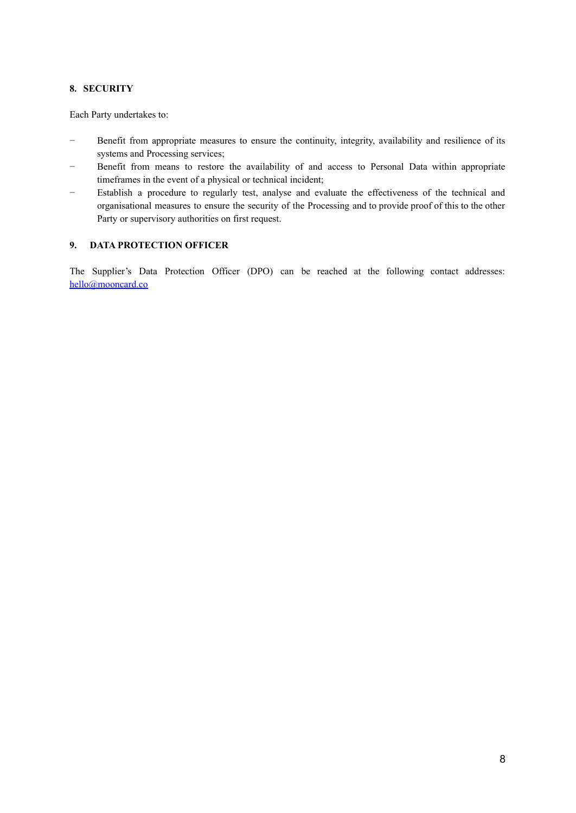## **8. SECURITY**

Each Party undertakes to:

- − Benefit from appropriate measures to ensure the continuity, integrity, availability and resilience of its systems and Processing services;
- Benefit from means to restore the availability of and access to Personal Data within appropriate timeframes in the event of a physical or technical incident;
- Establish a procedure to regularly test, analyse and evaluate the effectiveness of the technical and organisational measures to ensure the security of the Processing and to provide proof of this to the other Party or supervisory authorities on first request.

## **9. DATA PROTECTION OFFICER**

The Supplier's Data Protection Officer (DPO) can be reached at the following contact addresses: [hello@mooncard.co](mailto:hello@mooncard.co)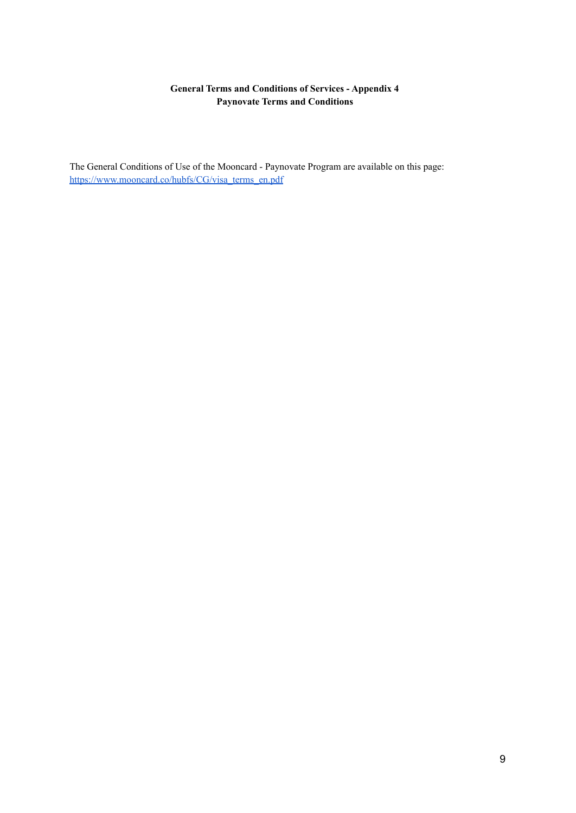# **General Terms and Conditions of Services - Appendix 4 Paynovate Terms and Conditions**

The General Conditions of Use of the Mooncard - Paynovate Program are available on this page: [https://www.mooncard.co/hubfs/CG/visa\\_terms\\_en.pdf](https://www.mooncard.co/hubfs/CG/visa_terms_en.pdf)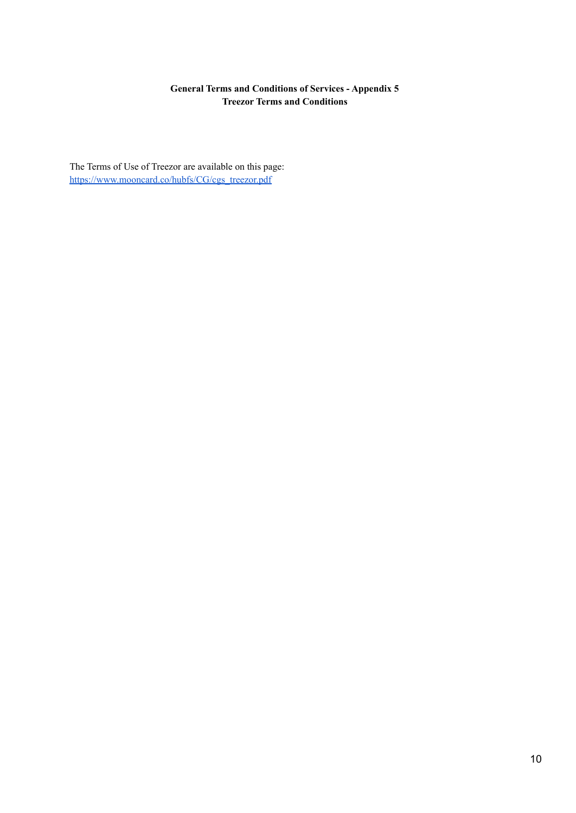# **General Terms and Conditions of Services - Appendix 5 Treezor Terms and Conditions**

The Terms of Use of Treezor are available on this page: [https://www.mooncard.co/hubfs/CG/cgs\\_treezor.pdf](https://www.mooncard.co/hubfs/CG/cgs_treezor.pdf)